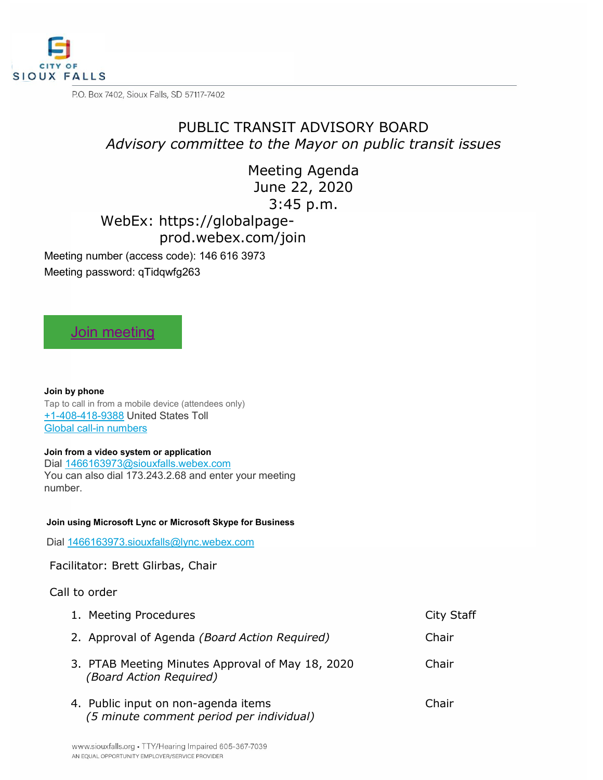

P.O. Box 7402, Sioux Falls, SD 57117-7402

# PUBLIC TRANSIT ADVISORY BOARD *Advisory committee to the Mayor on public transit issues*

Meeting Agenda June 22, 2020 3:45 p.m.

WebEx: https://globalpage-

prod.webex.com/join

Meeting number (access code): 146 616 3973

Meeting password: qTidqwfg263

## [Join meeting](https://siouxfalls.webex.com/siouxfalls/j.php?MTID=m1a8cbfd3162ae66d7b5ba7c729e096c4)

**Join by phone** Tap to call in from a mobile device (attendees only) [+1-408-418-9388](tel:%2B1-408-418-9388,,*01*1466163973%23%23*01*) United States Toll [Global call-in numbers](https://siouxfalls.webex.com/siouxfalls/globalcallin.php?MTID=me164fae88affa44e478bf9a24a0e46a5)

### **Join from a video system or application**

Dial [1466163973@siouxfalls.webex.com](sip:1466163973@siouxfalls.webex.com) You can also dial 173.243.2.68 and enter your meeting number.

#### **Join using Microsoft Lync or Microsoft Skype for Business**

Dial 1466163973.siouxfalls@lync.webex.com

Facilitator: Brett Glirbas, Chair

### Call to order

| 1. Meeting Procedures                                                           | City Staff |
|---------------------------------------------------------------------------------|------------|
| 2. Approval of Agenda (Board Action Required)                                   | Chair      |
| 3. PTAB Meeting Minutes Approval of May 18, 2020<br>(Board Action Required)     | Chair      |
| 4. Public input on non-agenda items<br>(5 minute comment period per individual) | Chair      |